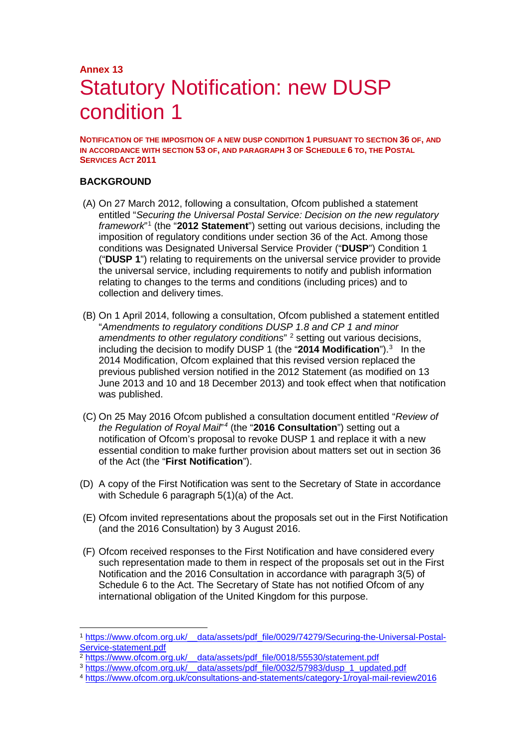# **Annex 13** Statutory Notification: new DUSP condition 1

**NOTIFICATION OF THE IMPOSITION OF A NEW DUSP CONDITION 1 PURSUANT TO SECTION 36 OF, AND IN ACCORDANCE WITH SECTION 53 OF, AND PARAGRAPH 3 OF SCHEDULE 6 TO, THE POSTAL SERVICES ACT 2011**

#### **BACKGROUND**

- (A) On 27 March 2012, following a consultation, Ofcom published a statement entitled "*Securing the Universal Postal Service: Decision on the new regulatory framework*"[1](#page-0-0) (the "**2012 Statement**") setting out various decisions, including the imposition of regulatory conditions under section 36 of the Act. Among those conditions was Designated Universal Service Provider ("**DUSP**") Condition 1 ("**DUSP 1**") relating to requirements on the universal service provider to provide the universal service, including requirements to notify and publish information relating to changes to the terms and conditions (including prices) and to collection and delivery times.
- (B) On 1 April 2014, following a consultation, Ofcom published a statement entitled "*Amendments to regulatory conditions DUSP 1.8 and CP 1 and minor amendments to other regulatory conditions*" [2](#page-0-1) setting out various decisions, including the decision to modify DUSP 1 (the "2014 Modification").<sup>[3](#page-0-2)</sup> In the 2014 Modification, Ofcom explained that this revised version replaced the previous published version notified in the 2012 Statement (as modified on 13 June 2013 and 10 and 18 December 2013) and took effect when that notification was published.
- (C) On 25 May 2016 Ofcom published a consultation document entitled "*Review of the Regulation of Royal Mail*" *[4](#page-0-3)* (the "**2016 Consultation**") setting out a notification of Ofcom's proposal to revoke DUSP 1 and replace it with a new essential condition to make further provision about matters set out in section 36 of the Act (the "**First Notification**").
- (D) A copy of the First Notification was sent to the Secretary of State in accordance with Schedule 6 paragraph 5(1)(a) of the Act.
- (E) Ofcom invited representations about the proposals set out in the First Notification (and the 2016 Consultation) by 3 August 2016.
- (F) Ofcom received responses to the First Notification and have considered every such representation made to them in respect of the proposals set out in the First Notification and the 2016 Consultation in accordance with paragraph 3(5) of Schedule 6 to the Act. The Secretary of State has not notified Ofcom of any international obligation of the United Kingdom for this purpose.

<span id="page-0-0"></span> <sup>1</sup> [https://www.ofcom.org.uk/\\_\\_data/assets/pdf\\_file/0029/74279/Securing-the-Universal-Postal-](https://www.ofcom.org.uk/__data/assets/pdf_file/0029/74279/Securing-the-Universal-Postal-Service-statement.pdf)[Service-statement.pdf](https://www.ofcom.org.uk/__data/assets/pdf_file/0029/74279/Securing-the-Universal-Postal-Service-statement.pdf)

<span id="page-0-2"></span><span id="page-0-1"></span><sup>&</sup>lt;sup>2</sup> https://www.ofcom.org.uk/ data/assets/pdf\_file/0018/55530/statement.pdf<br><sup>3</sup> https://www.ofcom.org.uk/ data/assets/pdf\_file/0032/57983/dusp\_1\_updated.pdf

<span id="page-0-3"></span><sup>&</sup>lt;sup>4</sup> <https://www.ofcom.org.uk/consultations-and-statements/category-1/royal-mail-review2016>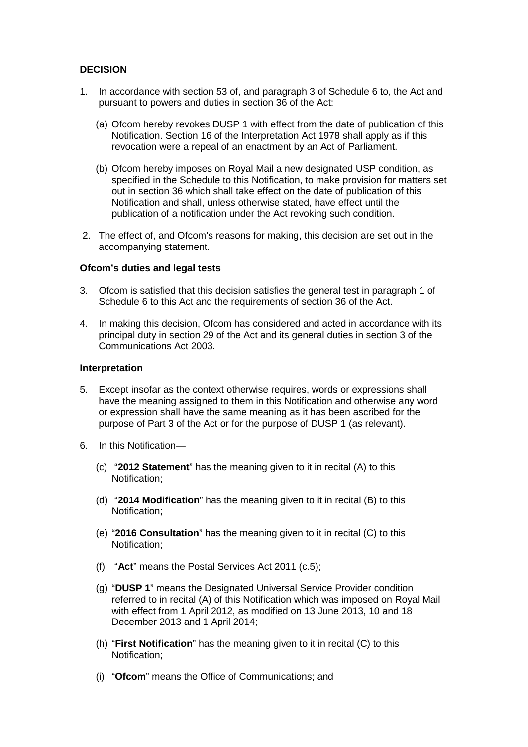#### **DECISION**

- 1. In accordance with section 53 of, and paragraph 3 of Schedule 6 to, the Act and pursuant to powers and duties in section 36 of the Act:
	- (a) Ofcom hereby revokes DUSP 1 with effect from the date of publication of this Notification. Section 16 of the Interpretation Act 1978 shall apply as if this revocation were a repeal of an enactment by an Act of Parliament.
	- (b) Ofcom hereby imposes on Royal Mail a new designated USP condition, as specified in the Schedule to this Notification, to make provision for matters set out in section 36 which shall take effect on the date of publication of this Notification and shall, unless otherwise stated, have effect until the publication of a notification under the Act revoking such condition.
- 2. The effect of, and Ofcom's reasons for making, this decision are set out in the accompanying statement.

#### **Ofcom's duties and legal tests**

- 3. Ofcom is satisfied that this decision satisfies the general test in paragraph 1 of Schedule 6 to this Act and the requirements of section 36 of the Act.
- 4. In making this decision, Ofcom has considered and acted in accordance with its principal duty in section 29 of the Act and its general duties in section 3 of the Communications Act 2003.

#### **Interpretation**

- 5. Except insofar as the context otherwise requires, words or expressions shall have the meaning assigned to them in this Notification and otherwise any word or expression shall have the same meaning as it has been ascribed for the purpose of Part 3 of the Act or for the purpose of DUSP 1 (as relevant).
- 6. In this Notification—
	- (c) "**2012 Statement**" has the meaning given to it in recital (A) to this Notification;
	- (d) "**2014 Modification**" has the meaning given to it in recital (B) to this Notification;
	- (e) "**2016 Consultation**" has the meaning given to it in recital (C) to this Notification;
	- (f) "**Act**" means the Postal Services Act 2011 (c.5);
	- (g) "**DUSP 1**" means the Designated Universal Service Provider condition referred to in recital (A) of this Notification which was imposed on Royal Mail with effect from 1 April 2012, as modified on 13 June 2013, 10 and 18 December 2013 and 1 April 2014;
	- (h) "**First Notification**" has the meaning given to it in recital (C) to this Notification;
	- (i) "**Ofcom**" means the Office of Communications; and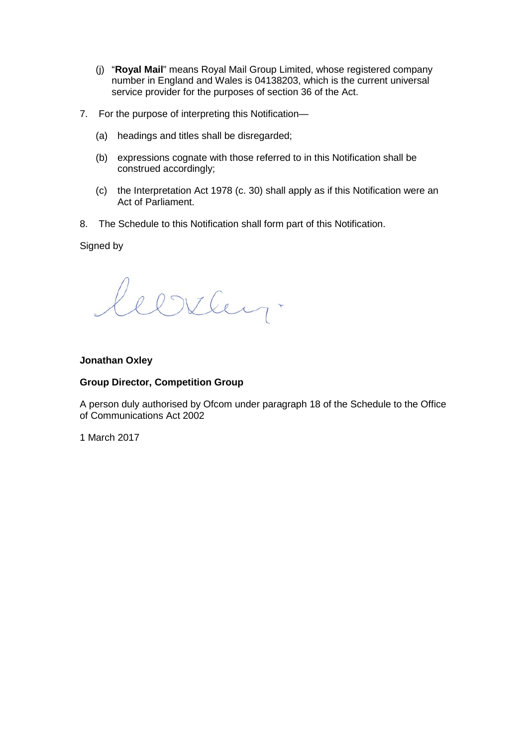- (j) "**Royal Mail**" means Royal Mail Group Limited, whose registered company number in England and Wales is 04138203, which is the current universal service provider for the purposes of section 36 of the Act.
- 7. For the purpose of interpreting this Notification—
	- (a) headings and titles shall be disregarded;
	- (b) expressions cognate with those referred to in this Notification shall be construed accordingly;
	- (c) the Interpretation Act 1978 (c. 30) shall apply as if this Notification were an Act of Parliament.
- 8. The Schedule to this Notification shall form part of this Notification.

Signed by

Clirley.

#### **Jonathan Oxley**

#### **Group Director, Competition Group**

A person duly authorised by Ofcom under paragraph 18 of the Schedule to the Office of Communications Act 2002

1 March 2017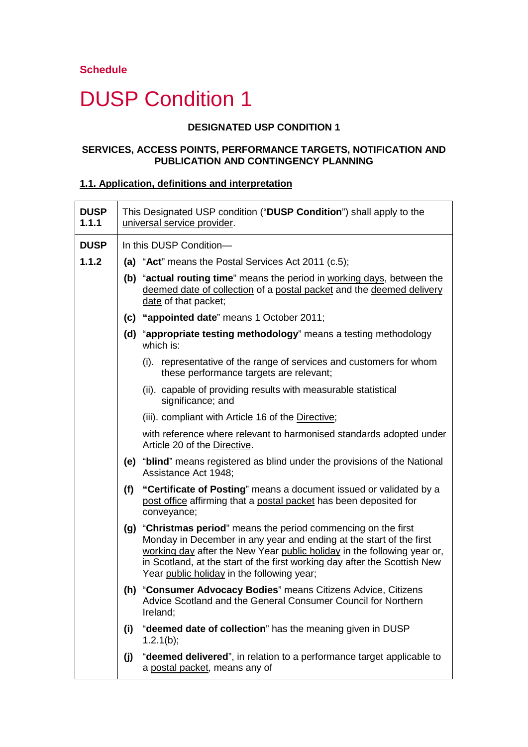# DUSP Condition 1

#### **DESIGNATED USP CONDITION 1**

#### **SERVICES, ACCESS POINTS, PERFORMANCE TARGETS, NOTIFICATION AND PUBLICATION AND CONTINGENCY PLANNING**

#### **1.1. Application, definitions and interpretation**

| <b>DUSP</b><br>1.1.1 |     | This Designated USP condition ("DUSP Condition") shall apply to the<br>universal service provider.                                                                                                                                                                                                                                           |
|----------------------|-----|----------------------------------------------------------------------------------------------------------------------------------------------------------------------------------------------------------------------------------------------------------------------------------------------------------------------------------------------|
| <b>DUSP</b>          |     | In this DUSP Condition-                                                                                                                                                                                                                                                                                                                      |
| 1.1.2                |     | (a) "Act" means the Postal Services Act 2011 (c.5);                                                                                                                                                                                                                                                                                          |
|                      |     | (b) "actual routing time" means the period in working days, between the<br>deemed date of collection of a postal packet and the deemed delivery<br>date of that packet;                                                                                                                                                                      |
|                      |     | (c) "appointed date" means 1 October 2011;                                                                                                                                                                                                                                                                                                   |
|                      |     | (d) "appropriate testing methodology" means a testing methodology<br>which is:                                                                                                                                                                                                                                                               |
|                      |     | (i). representative of the range of services and customers for whom<br>these performance targets are relevant;                                                                                                                                                                                                                               |
|                      |     | (ii). capable of providing results with measurable statistical<br>significance; and                                                                                                                                                                                                                                                          |
|                      |     | (iii). compliant with Article 16 of the Directive;                                                                                                                                                                                                                                                                                           |
|                      |     | with reference where relevant to harmonised standards adopted under<br>Article 20 of the Directive.                                                                                                                                                                                                                                          |
|                      |     | (e) "blind" means registered as blind under the provisions of the National<br>Assistance Act 1948;                                                                                                                                                                                                                                           |
|                      |     | (f) "Certificate of Posting" means a document issued or validated by a<br>post office affirming that a postal packet has been deposited for<br>conveyance;                                                                                                                                                                                   |
|                      |     | (g) "Christmas period" means the period commencing on the first<br>Monday in December in any year and ending at the start of the first<br>working day after the New Year public holiday in the following year or,<br>in Scotland, at the start of the first working day after the Scottish New<br>Year public holiday in the following year; |
|                      |     | (h) "Consumer Advocacy Bodies" means Citizens Advice, Citizens<br>Advice Scotland and the General Consumer Council for Northern<br>Ireland;                                                                                                                                                                                                  |
|                      | (i) | "deemed date of collection" has the meaning given in DUSP<br>1.2.1(b);                                                                                                                                                                                                                                                                       |
|                      | (j) | "deemed delivered", in relation to a performance target applicable to<br>a postal packet, means any of                                                                                                                                                                                                                                       |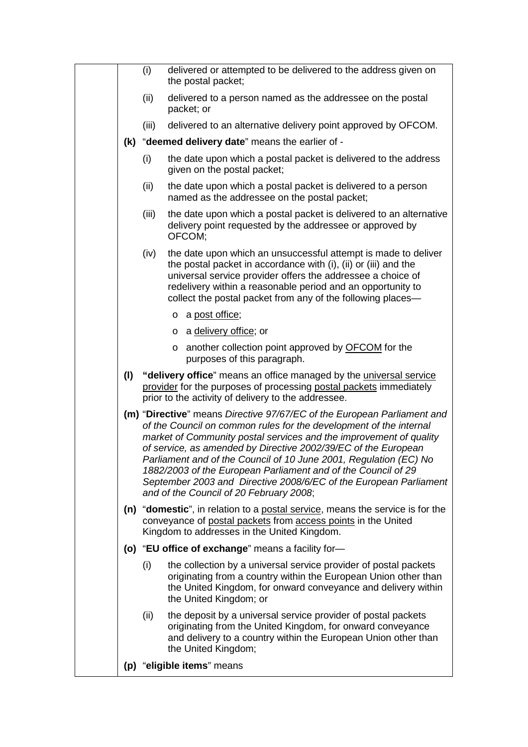|     | (i)   | delivered or attempted to be delivered to the address given on<br>the postal packet;                                                                                                                                                                                                                                                                                                                                                                                                                                                        |
|-----|-------|---------------------------------------------------------------------------------------------------------------------------------------------------------------------------------------------------------------------------------------------------------------------------------------------------------------------------------------------------------------------------------------------------------------------------------------------------------------------------------------------------------------------------------------------|
|     | (ii)  | delivered to a person named as the addressee on the postal<br>packet; or                                                                                                                                                                                                                                                                                                                                                                                                                                                                    |
|     | (iii) | delivered to an alternative delivery point approved by OFCOM.                                                                                                                                                                                                                                                                                                                                                                                                                                                                               |
|     |       | (k) "deemed delivery date" means the earlier of -                                                                                                                                                                                                                                                                                                                                                                                                                                                                                           |
|     | (i)   | the date upon which a postal packet is delivered to the address<br>given on the postal packet;                                                                                                                                                                                                                                                                                                                                                                                                                                              |
|     | (ii)  | the date upon which a postal packet is delivered to a person<br>named as the addressee on the postal packet;                                                                                                                                                                                                                                                                                                                                                                                                                                |
|     | (iii) | the date upon which a postal packet is delivered to an alternative<br>delivery point requested by the addressee or approved by<br>OFCOM:                                                                                                                                                                                                                                                                                                                                                                                                    |
|     | (iv)  | the date upon which an unsuccessful attempt is made to deliver<br>the postal packet in accordance with (i), (ii) or (iii) and the<br>universal service provider offers the addressee a choice of<br>redelivery within a reasonable period and an opportunity to<br>collect the postal packet from any of the following places—                                                                                                                                                                                                              |
|     |       | o a post office;                                                                                                                                                                                                                                                                                                                                                                                                                                                                                                                            |
|     |       | a delivery office; or<br>$\circ$                                                                                                                                                                                                                                                                                                                                                                                                                                                                                                            |
|     |       | o another collection point approved by OFCOM for the<br>purposes of this paragraph.                                                                                                                                                                                                                                                                                                                                                                                                                                                         |
| (1) |       | "delivery office" means an office managed by the universal service<br>provider for the purposes of processing postal packets immediately<br>prior to the activity of delivery to the addressee.                                                                                                                                                                                                                                                                                                                                             |
|     |       | (m) "Directive" means Directive 97/67/EC of the European Parliament and<br>of the Council on common rules for the development of the internal<br>market of Community postal services and the improvement of quality<br>of service, as amended by Directive 2002/39/EC of the European<br>Parliament and of the Council of 10 June 2001, Regulation (EC) No<br>1882/2003 of the European Parliament and of the Council of 29<br>September 2003 and Directive 2008/6/EC of the European Parliament<br>and of the Council of 20 February 2008; |
|     |       | (n) "domestic", in relation to a postal service, means the service is for the<br>conveyance of postal packets from access points in the United<br>Kingdom to addresses in the United Kingdom.                                                                                                                                                                                                                                                                                                                                               |
|     |       | (o) "EU office of exchange" means a facility for-                                                                                                                                                                                                                                                                                                                                                                                                                                                                                           |
|     | (i)   | the collection by a universal service provider of postal packets<br>originating from a country within the European Union other than<br>the United Kingdom, for onward conveyance and delivery within<br>the United Kingdom; or                                                                                                                                                                                                                                                                                                              |
|     | (ii)  | the deposit by a universal service provider of postal packets<br>originating from the United Kingdom, for onward conveyance<br>and delivery to a country within the European Union other than<br>the United Kingdom;                                                                                                                                                                                                                                                                                                                        |
|     |       | (p) "eligible items" means                                                                                                                                                                                                                                                                                                                                                                                                                                                                                                                  |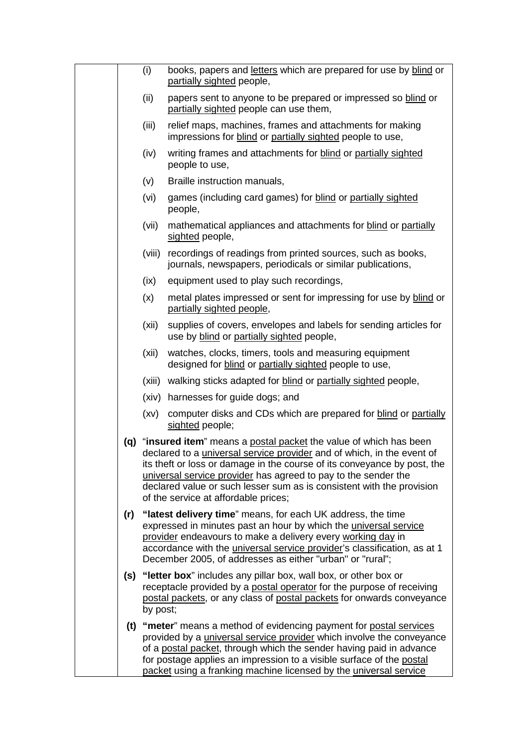|  | (i)      | books, papers and letters which are prepared for use by blind or<br>partially sighted people,                                                                                                                                                                                                                                                                                                                        |
|--|----------|----------------------------------------------------------------------------------------------------------------------------------------------------------------------------------------------------------------------------------------------------------------------------------------------------------------------------------------------------------------------------------------------------------------------|
|  | (ii)     | papers sent to anyone to be prepared or impressed so blind or<br>partially sighted people can use them,                                                                                                                                                                                                                                                                                                              |
|  | (iii)    | relief maps, machines, frames and attachments for making<br>impressions for blind or partially sighted people to use,                                                                                                                                                                                                                                                                                                |
|  | (iv)     | writing frames and attachments for blind or partially sighted<br>people to use,                                                                                                                                                                                                                                                                                                                                      |
|  | (v)      | Braille instruction manuals,                                                                                                                                                                                                                                                                                                                                                                                         |
|  | (vi)     | games (including card games) for blind or partially sighted<br>people,                                                                                                                                                                                                                                                                                                                                               |
|  | (vii)    | mathematical appliances and attachments for blind or partially<br>sighted people,                                                                                                                                                                                                                                                                                                                                    |
|  | (viii)   | recordings of readings from printed sources, such as books,<br>journals, newspapers, periodicals or similar publications,                                                                                                                                                                                                                                                                                            |
|  | (ix)     | equipment used to play such recordings,                                                                                                                                                                                                                                                                                                                                                                              |
|  | (x)      | metal plates impressed or sent for impressing for use by blind or<br>partially sighted people,                                                                                                                                                                                                                                                                                                                       |
|  | (xii)    | supplies of covers, envelopes and labels for sending articles for<br>use by blind or partially sighted people,                                                                                                                                                                                                                                                                                                       |
|  | (xii)    | watches, clocks, timers, tools and measuring equipment<br>designed for blind or partially sighted people to use,                                                                                                                                                                                                                                                                                                     |
|  | (xiii)   | walking sticks adapted for blind or partially sighted people,                                                                                                                                                                                                                                                                                                                                                        |
|  |          | (xiv) harnesses for guide dogs; and                                                                                                                                                                                                                                                                                                                                                                                  |
|  | (xv)     | computer disks and CDs which are prepared for blind or partially<br>sighted people;                                                                                                                                                                                                                                                                                                                                  |
|  |          | (q) "insured item" means a postal packet the value of which has been<br>declared to a <i>universal service provider</i> and of which, in the event of<br>its theft or loss or damage in the course of its conveyance by post, the<br>universal service provider has agreed to pay to the sender the<br>declared value or such lesser sum as is consistent with the provision<br>of the service at affordable prices; |
|  |          | (r) "latest delivery time" means, for each UK address, the time<br>expressed in minutes past an hour by which the universal service<br>provider endeavours to make a delivery every working day in<br>accordance with the <i>universal service provider's</i> classification, as at 1<br>December 2005, of addresses as either "urban" or "rural";                                                                   |
|  | by post; | (s) "letter box" includes any pillar box, wall box, or other box or<br>receptacle provided by a postal operator for the purpose of receiving<br>postal packets, or any class of postal packets for onwards conveyance                                                                                                                                                                                                |
|  |          | (t) "meter" means a method of evidencing payment for postal services<br>provided by a <i>universal service provider</i> which involve the conveyance<br>of a postal packet, through which the sender having paid in advance<br>for postage applies an impression to a visible surface of the postal<br>packet using a franking machine licensed by the universal service                                             |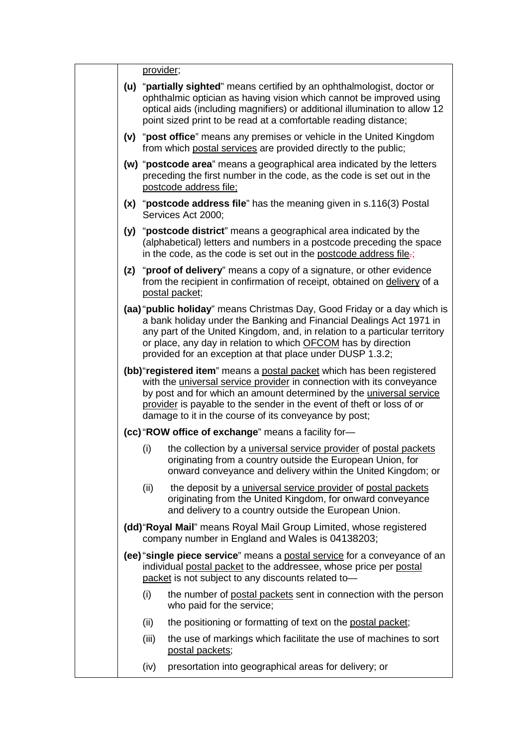|  | provider; |                                                                                                                                                                                                                                                                                                                                                             |
|--|-----------|-------------------------------------------------------------------------------------------------------------------------------------------------------------------------------------------------------------------------------------------------------------------------------------------------------------------------------------------------------------|
|  |           | (u) "partially sighted" means certified by an ophthalmologist, doctor or<br>ophthalmic optician as having vision which cannot be improved using<br>optical aids (including magnifiers) or additional illumination to allow 12<br>point sized print to be read at a comfortable reading distance;                                                            |
|  |           | (v) "post office" means any premises or vehicle in the United Kingdom<br>from which postal services are provided directly to the public;                                                                                                                                                                                                                    |
|  |           | (w) "postcode area" means a geographical area indicated by the letters<br>preceding the first number in the code, as the code is set out in the<br>postcode address file;                                                                                                                                                                                   |
|  |           | (x) "postcode address file" has the meaning given in s.116(3) Postal<br>Services Act 2000;                                                                                                                                                                                                                                                                  |
|  |           | (y) "postcode district" means a geographical area indicated by the<br>(alphabetical) letters and numbers in a postcode preceding the space<br>in the code, as the code is set out in the postcode address file-;                                                                                                                                            |
|  |           | (z) "proof of delivery" means a copy of a signature, or other evidence<br>from the recipient in confirmation of receipt, obtained on delivery of a<br>postal packet;                                                                                                                                                                                        |
|  |           | (aa) "public holiday" means Christmas Day, Good Friday or a day which is<br>a bank holiday under the Banking and Financial Dealings Act 1971 in<br>any part of the United Kingdom, and, in relation to a particular territory<br>or place, any day in relation to which OFCOM has by direction<br>provided for an exception at that place under DUSP 1.3.2; |
|  |           | (bb) "registered item" means a postal packet which has been registered<br>with the universal service provider in connection with its conveyance<br>by post and for which an amount determined by the universal service<br>provider is payable to the sender in the event of theft or loss of or<br>damage to it in the course of its conveyance by post;    |
|  |           | (cc) "ROW office of exchange" means a facility for-                                                                                                                                                                                                                                                                                                         |
|  | (i)       | the collection by a <i>universal service provider</i> of postal packets<br>originating from a country outside the European Union, for<br>onward conveyance and delivery within the United Kingdom; or                                                                                                                                                       |
|  | (ii)      | the deposit by a <i>universal service provider</i> of postal packets<br>originating from the United Kingdom, for onward conveyance<br>and delivery to a country outside the European Union.                                                                                                                                                                 |
|  |           | (dd) "Royal Mail" means Royal Mail Group Limited, whose registered<br>company number in England and Wales is 04138203;                                                                                                                                                                                                                                      |
|  |           | (ee) "single piece service" means a postal service for a conveyance of an<br>individual postal packet to the addressee, whose price per postal<br>packet is not subject to any discounts related to-                                                                                                                                                        |
|  | (i)       | the number of postal packets sent in connection with the person<br>who paid for the service;                                                                                                                                                                                                                                                                |
|  | (ii)      | the positioning or formatting of text on the postal packet;                                                                                                                                                                                                                                                                                                 |
|  | (iii)     | the use of markings which facilitate the use of machines to sort<br>postal packets;                                                                                                                                                                                                                                                                         |
|  | (iv)      | presortation into geographical areas for delivery; or                                                                                                                                                                                                                                                                                                       |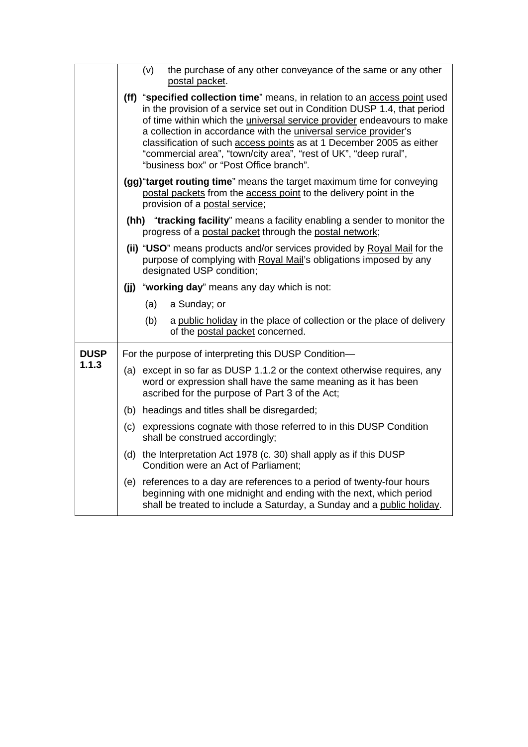|             | the purchase of any other conveyance of the same or any other<br>(v)<br>postal packet.                                                                                                                                                                                                                                                                                                                                                                                                                            |
|-------------|-------------------------------------------------------------------------------------------------------------------------------------------------------------------------------------------------------------------------------------------------------------------------------------------------------------------------------------------------------------------------------------------------------------------------------------------------------------------------------------------------------------------|
|             | (ff) "specified collection time" means, in relation to an access point used<br>in the provision of a service set out in Condition DUSP 1.4, that period<br>of time within which the <i>universal service provider</i> endeavours to make<br>a collection in accordance with the <i>universal service provider's</i><br>classification of such <b>access points</b> as at 1 December 2005 as either<br>"commercial area", "town/city area", "rest of UK", "deep rural",<br>"business box" or "Post Office branch". |
|             | (gg) "target routing time" means the target maximum time for conveying<br>postal packets from the access point to the delivery point in the<br>provision of a postal service;                                                                                                                                                                                                                                                                                                                                     |
|             | (hh) "tracking facility" means a facility enabling a sender to monitor the<br>progress of a postal packet through the postal network;                                                                                                                                                                                                                                                                                                                                                                             |
|             | (ii) "USO" means products and/or services provided by Royal Mail for the<br>purpose of complying with Royal Mail's obligations imposed by any<br>designated USP condition;                                                                                                                                                                                                                                                                                                                                        |
|             | (jj) "working day" means any day which is not:                                                                                                                                                                                                                                                                                                                                                                                                                                                                    |
|             | (a)<br>a Sunday; or                                                                                                                                                                                                                                                                                                                                                                                                                                                                                               |
|             | a public holiday in the place of collection or the place of delivery<br>(b)<br>of the postal packet concerned.                                                                                                                                                                                                                                                                                                                                                                                                    |
| <b>DUSP</b> | For the purpose of interpreting this DUSP Condition-                                                                                                                                                                                                                                                                                                                                                                                                                                                              |
| 1.1.3       | (a) except in so far as DUSP 1.1.2 or the context otherwise requires, any<br>word or expression shall have the same meaning as it has been<br>ascribed for the purpose of Part 3 of the Act;                                                                                                                                                                                                                                                                                                                      |
|             | (b) headings and titles shall be disregarded;                                                                                                                                                                                                                                                                                                                                                                                                                                                                     |
|             | (c) expressions cognate with those referred to in this DUSP Condition<br>shall be construed accordingly;                                                                                                                                                                                                                                                                                                                                                                                                          |
|             | (d) the Interpretation Act 1978 (c. 30) shall apply as if this DUSP<br>Condition were an Act of Parliament;                                                                                                                                                                                                                                                                                                                                                                                                       |
|             | (e) references to a day are references to a period of twenty-four hours<br>beginning with one midnight and ending with the next, which period<br>shall be treated to include a Saturday, a Sunday and a public holiday.                                                                                                                                                                                                                                                                                           |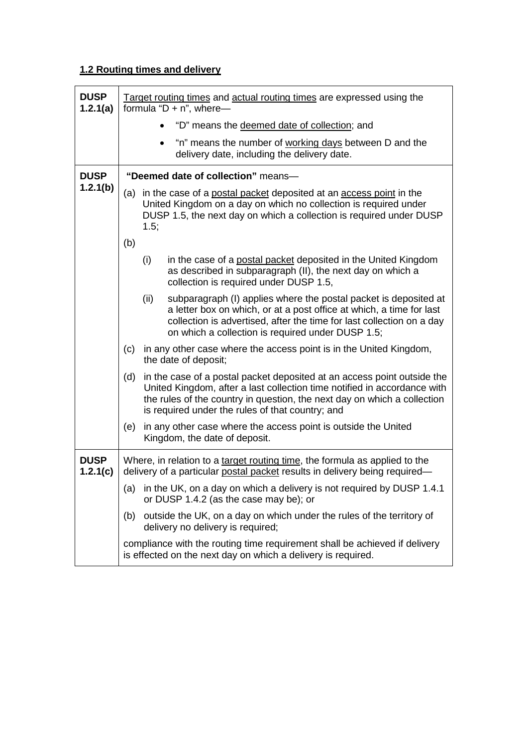# **1.2 Routing times and delivery**

| <b>DUSP</b><br>1.2.1(a) |     |      | Target routing times and actual routing times are expressed using the<br>formula " $D + n$ ", where-                                                                                                                                                                                |
|-------------------------|-----|------|-------------------------------------------------------------------------------------------------------------------------------------------------------------------------------------------------------------------------------------------------------------------------------------|
|                         |     |      | "D" means the deemed date of collection; and                                                                                                                                                                                                                                        |
|                         |     |      | "n" means the number of working days between D and the<br>delivery date, including the delivery date.                                                                                                                                                                               |
| <b>DUSP</b>             |     |      | "Deemed date of collection" means-                                                                                                                                                                                                                                                  |
| 1.2.1(b)                |     | 1.5; | (a) in the case of a postal packet deposited at an access point in the<br>United Kingdom on a day on which no collection is required under<br>DUSP 1.5, the next day on which a collection is required under DUSP                                                                   |
|                         | (b) |      |                                                                                                                                                                                                                                                                                     |
|                         |     | (i)  | in the case of a postal packet deposited in the United Kingdom<br>as described in subparagraph (II), the next day on which a<br>collection is required under DUSP 1.5,                                                                                                              |
|                         |     | (ii) | subparagraph (I) applies where the postal packet is deposited at<br>a letter box on which, or at a post office at which, a time for last<br>collection is advertised, after the time for last collection on a day<br>on which a collection is required under DUSP 1.5;              |
|                         | (c) |      | in any other case where the access point is in the United Kingdom,<br>the date of deposit;                                                                                                                                                                                          |
|                         | (d) |      | in the case of a postal packet deposited at an access point outside the<br>United Kingdom, after a last collection time notified in accordance with<br>the rules of the country in question, the next day on which a collection<br>is required under the rules of that country; and |
|                         | (e) |      | in any other case where the access point is outside the United<br>Kingdom, the date of deposit.                                                                                                                                                                                     |
| <b>DUSP</b><br>1.2.1(c) |     |      | Where, in relation to a target routing time, the formula as applied to the<br>delivery of a particular postal packet results in delivery being required-                                                                                                                            |
|                         | (a) |      | in the UK, on a day on which a delivery is not required by DUSP 1.4.1<br>or DUSP 1.4.2 (as the case may be); or                                                                                                                                                                     |
|                         | (b) |      | outside the UK, on a day on which under the rules of the territory of<br>delivery no delivery is required;                                                                                                                                                                          |
|                         |     |      | compliance with the routing time requirement shall be achieved if delivery<br>is effected on the next day on which a delivery is required.                                                                                                                                          |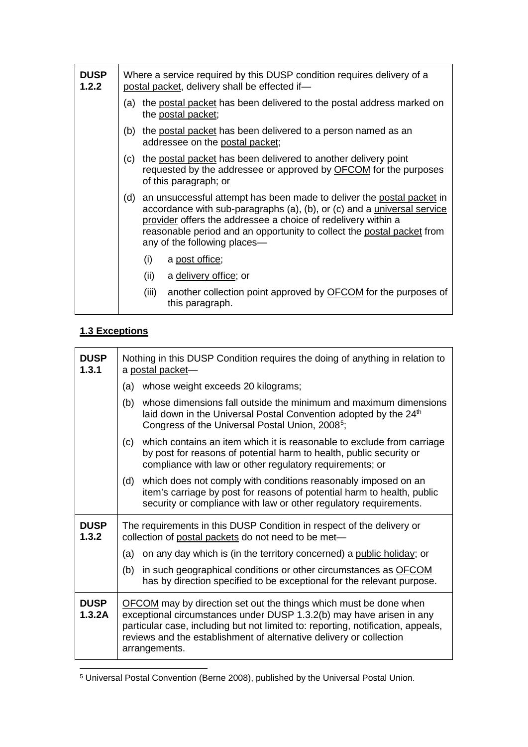| <b>DUSP</b><br>1.2.2 |     | Where a service required by this DUSP condition requires delivery of a<br>postal packet, delivery shall be effected if-                                                                                                                                                                                                            |  |
|----------------------|-----|------------------------------------------------------------------------------------------------------------------------------------------------------------------------------------------------------------------------------------------------------------------------------------------------------------------------------------|--|
|                      |     | (a) the postal packet has been delivered to the postal address marked on<br>the postal packet;                                                                                                                                                                                                                                     |  |
|                      | (b) | the postal packet has been delivered to a person named as an<br>addressee on the postal packet;                                                                                                                                                                                                                                    |  |
|                      | (c) | the postal packet has been delivered to another delivery point<br>requested by the addressee or approved by OFCOM for the purposes<br>of this paragraph; or                                                                                                                                                                        |  |
|                      | (d) | an unsuccessful attempt has been made to deliver the postal packet in<br>accordance with sub-paragraphs (a), (b), or (c) and a <i>universal service</i><br>provider offers the addressee a choice of redelivery within a<br>reasonable period and an opportunity to collect the postal packet from<br>any of the following places— |  |
|                      |     | (i)<br>a post office;                                                                                                                                                                                                                                                                                                              |  |
|                      |     | (ii)<br>a delivery office; or                                                                                                                                                                                                                                                                                                      |  |
|                      |     | (iii)<br>another collection point approved by <b>OFCOM</b> for the purposes of<br>this paragraph.                                                                                                                                                                                                                                  |  |

# **1.3 Exceptions**

| <b>DUSP</b><br>1.3.1  | Nothing in this DUSP Condition requires the doing of anything in relation to<br>a postal packet-                                                                                                                                                                                                                             |
|-----------------------|------------------------------------------------------------------------------------------------------------------------------------------------------------------------------------------------------------------------------------------------------------------------------------------------------------------------------|
|                       | whose weight exceeds 20 kilograms;<br>(a)                                                                                                                                                                                                                                                                                    |
|                       | whose dimensions fall outside the minimum and maximum dimensions<br>(b)<br>laid down in the Universal Postal Convention adopted by the 24 <sup>th</sup><br>Congress of the Universal Postal Union, 2008 <sup>5</sup> ;                                                                                                       |
|                       | which contains an item which it is reasonable to exclude from carriage<br>(c)<br>by post for reasons of potential harm to health, public security or<br>compliance with law or other regulatory requirements; or                                                                                                             |
|                       | which does not comply with conditions reasonably imposed on an<br>(d)<br>item's carriage by post for reasons of potential harm to health, public<br>security or compliance with law or other regulatory requirements.                                                                                                        |
| <b>DUSP</b><br>1.3.2  | The requirements in this DUSP Condition in respect of the delivery or<br>collection of postal packets do not need to be met-                                                                                                                                                                                                 |
|                       | (a)<br>on any day which is (in the territory concerned) a public holiday; or                                                                                                                                                                                                                                                 |
|                       | in such geographical conditions or other circumstances as OFCOM<br>(b)<br>has by direction specified to be exceptional for the relevant purpose.                                                                                                                                                                             |
| <b>DUSP</b><br>1.3.2A | <b>OFCOM</b> may by direction set out the things which must be done when<br>exceptional circumstances under DUSP 1.3.2(b) may have arisen in any<br>particular case, including but not limited to: reporting, notification, appeals,<br>reviews and the establishment of alternative delivery or collection<br>arrangements. |

<span id="page-9-0"></span> <sup>5</sup> Universal Postal Convention (Berne 2008), published by the Universal Postal Union.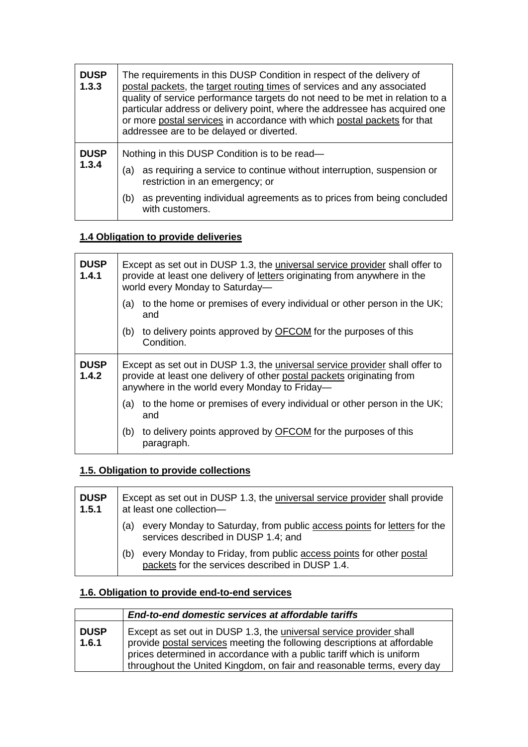| <b>DUSP</b><br>1.3.3 | The requirements in this DUSP Condition in respect of the delivery of<br>postal packets, the target routing times of services and any associated<br>quality of service performance targets do not need to be met in relation to a<br>particular address or delivery point, where the addressee has acquired one<br>or more postal services in accordance with which postal packets for that<br>addressee are to be delayed or diverted. |  |  |
|----------------------|-----------------------------------------------------------------------------------------------------------------------------------------------------------------------------------------------------------------------------------------------------------------------------------------------------------------------------------------------------------------------------------------------------------------------------------------|--|--|
| <b>DUSP</b><br>1.3.4 | Nothing in this DUSP Condition is to be read-<br>as requiring a service to continue without interruption, suspension or<br>(a)<br>restriction in an emergency; or<br>as preventing individual agreements as to prices from being concluded<br>(b)<br>with customers.                                                                                                                                                                    |  |  |

### **1.4 Obligation to provide deliveries**

| <b>DUSP</b><br>1.4.1 | Except as set out in DUSP 1.3, the universal service provider shall offer to<br>provide at least one delivery of letters originating from anywhere in the<br>world every Monday to Saturday-            |  |  |
|----------------------|---------------------------------------------------------------------------------------------------------------------------------------------------------------------------------------------------------|--|--|
|                      | to the home or premises of every individual or other person in the UK;<br>(a)<br>and                                                                                                                    |  |  |
|                      | to delivery points approved by <b>OFCOM</b> for the purposes of this<br>(b)<br>Condition.                                                                                                               |  |  |
| <b>DUSP</b><br>1.4.2 | Except as set out in DUSP 1.3, the universal service provider shall offer to<br>provide at least one delivery of other postal packets originating from<br>anywhere in the world every Monday to Friday- |  |  |
|                      | to the home or premises of every individual or other person in the UK;<br>(a)<br>and                                                                                                                    |  |  |
|                      | to delivery points approved by OFCOM for the purposes of this<br>(b)<br>paragraph.                                                                                                                      |  |  |

## **1.5. Obligation to provide collections**

| <b>DUSP</b><br>1.5.1 | Except as set out in DUSP 1.3, the <i>universal service provider shall provide</i><br>at least one collection-               |
|----------------------|------------------------------------------------------------------------------------------------------------------------------|
|                      | every Monday to Saturday, from public access points for letters for the<br>(a)<br>services described in DUSP 1.4; and        |
|                      | every Monday to Friday, from public access points for other postal<br>(b)<br>packets for the services described in DUSP 1.4. |

# **1.6. Obligation to provide end-to-end services**

|                      | End-to-end domestic services at affordable tariffs                                                                                                                                                                                                                                                        |
|----------------------|-----------------------------------------------------------------------------------------------------------------------------------------------------------------------------------------------------------------------------------------------------------------------------------------------------------|
| <b>DUSP</b><br>1.6.1 | Except as set out in DUSP 1.3, the <i>universal service provider</i> shall<br>provide postal services meeting the following descriptions at affordable<br>prices determined in accordance with a public tariff which is uniform<br>throughout the United Kingdom, on fair and reasonable terms, every day |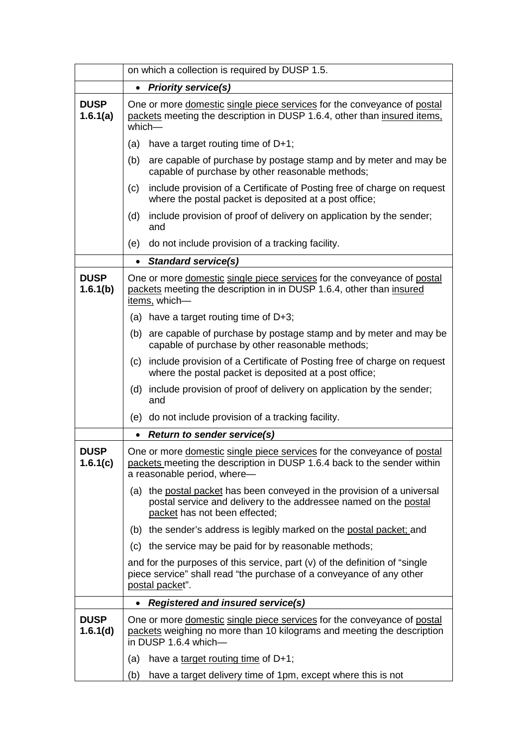|                         | on which a collection is required by DUSP 1.5.                                                                                                                                    |                                                                                                                                                                           |  |  |
|-------------------------|-----------------------------------------------------------------------------------------------------------------------------------------------------------------------------------|---------------------------------------------------------------------------------------------------------------------------------------------------------------------------|--|--|
|                         | $\bullet$                                                                                                                                                                         | <b>Priority service(s)</b>                                                                                                                                                |  |  |
| <b>DUSP</b><br>1.6.1(a) | One or more domestic single piece services for the conveyance of postal<br>packets meeting the description in DUSP 1.6.4, other than insured items,<br>$which$ —                  |                                                                                                                                                                           |  |  |
|                         | (a)                                                                                                                                                                               | have a target routing time of $D+1$ ;                                                                                                                                     |  |  |
|                         | (b)                                                                                                                                                                               | are capable of purchase by postage stamp and by meter and may be<br>capable of purchase by other reasonable methods;                                                      |  |  |
|                         | (c)                                                                                                                                                                               | include provision of a Certificate of Posting free of charge on request<br>where the postal packet is deposited at a post office;                                         |  |  |
|                         | (d)                                                                                                                                                                               | include provision of proof of delivery on application by the sender;<br>and                                                                                               |  |  |
|                         | (e)                                                                                                                                                                               | do not include provision of a tracking facility.                                                                                                                          |  |  |
|                         | $\bullet$                                                                                                                                                                         | <b>Standard service(s)</b>                                                                                                                                                |  |  |
| <b>DUSP</b><br>1.6.1(b) |                                                                                                                                                                                   | One or more domestic single piece services for the conveyance of postal<br>packets meeting the description in in DUSP 1.6.4, other than insured<br>items, which-          |  |  |
|                         |                                                                                                                                                                                   | (a) have a target routing time of $D+3$ ;                                                                                                                                 |  |  |
|                         |                                                                                                                                                                                   | (b) are capable of purchase by postage stamp and by meter and may be<br>capable of purchase by other reasonable methods;                                                  |  |  |
|                         |                                                                                                                                                                                   | (c) include provision of a Certificate of Posting free of charge on request<br>where the postal packet is deposited at a post office;                                     |  |  |
|                         | (d)                                                                                                                                                                               | include provision of proof of delivery on application by the sender;<br>and                                                                                               |  |  |
|                         | (e)                                                                                                                                                                               | do not include provision of a tracking facility.                                                                                                                          |  |  |
|                         | $\bullet$                                                                                                                                                                         | <b>Return to sender service(s)</b>                                                                                                                                        |  |  |
| <b>DUSP</b><br>1.6.1(c) | One or more domestic single piece services for the conveyance of postal<br>packets meeting the description in DUSP 1.6.4 back to the sender within<br>a reasonable period, where- |                                                                                                                                                                           |  |  |
|                         | (a)                                                                                                                                                                               | the postal packet has been conveyed in the provision of a universal<br>postal service and delivery to the addressee named on the postal<br>packet has not been effected;  |  |  |
|                         |                                                                                                                                                                                   | (b) the sender's address is legibly marked on the postal packet; and                                                                                                      |  |  |
|                         | (c)                                                                                                                                                                               | the service may be paid for by reasonable methods;                                                                                                                        |  |  |
|                         |                                                                                                                                                                                   | and for the purposes of this service, part $(v)$ of the definition of "single"<br>piece service" shall read "the purchase of a conveyance of any other<br>postal packet". |  |  |
|                         | $\bullet$                                                                                                                                                                         | <b>Registered and insured service(s)</b>                                                                                                                                  |  |  |
| <b>DUSP</b><br>1.6.1(d) |                                                                                                                                                                                   | One or more domestic single piece services for the conveyance of postal<br>packets weighing no more than 10 kilograms and meeting the description<br>in DUSP 1.6.4 which- |  |  |
|                         | (a)                                                                                                                                                                               | have a target routing time of D+1;                                                                                                                                        |  |  |
|                         | (b)                                                                                                                                                                               | have a target delivery time of 1pm, except where this is not                                                                                                              |  |  |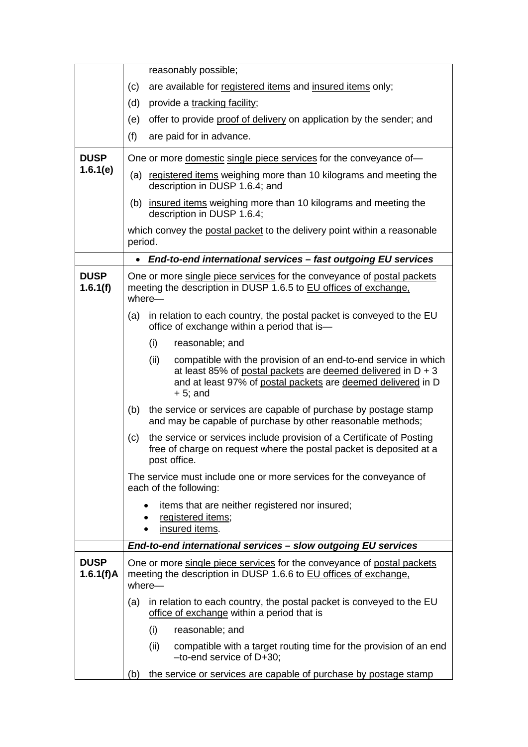|                          | reasonably possible;                                                                                                                                                                                                    |
|--------------------------|-------------------------------------------------------------------------------------------------------------------------------------------------------------------------------------------------------------------------|
|                          | are available for registered items and insured items only;<br>(c)                                                                                                                                                       |
|                          | (d)<br>provide a tracking facility;                                                                                                                                                                                     |
|                          | offer to provide proof of delivery on application by the sender; and<br>(e)                                                                                                                                             |
|                          | (f)<br>are paid for in advance.                                                                                                                                                                                         |
| <b>DUSP</b><br>1.6.1(e)  | One or more domestic single piece services for the conveyance of-                                                                                                                                                       |
|                          | (a) registered items weighing more than 10 kilograms and meeting the<br>description in DUSP 1.6.4; and                                                                                                                  |
|                          | (b) insured items weighing more than 10 kilograms and meeting the<br>description in DUSP 1.6.4;                                                                                                                         |
|                          | which convey the postal packet to the delivery point within a reasonable<br>period.                                                                                                                                     |
|                          | End-to-end international services - fast outgoing EU services<br>$\bullet$                                                                                                                                              |
| <b>DUSP</b><br>1.6.1(f)  | One or more single piece services for the conveyance of postal packets<br>meeting the description in DUSP 1.6.5 to EU offices of exchange.<br>where-                                                                    |
|                          | in relation to each country, the postal packet is conveyed to the EU<br>(a)<br>office of exchange within a period that is-                                                                                              |
|                          | (i)<br>reasonable; and                                                                                                                                                                                                  |
|                          | compatible with the provision of an end-to-end service in which<br>(ii)<br>at least 85% of postal packets are deemed delivered in $D + 3$<br>and at least 97% of postal packets are deemed delivered in D<br>$+5$ ; and |
|                          | (b)<br>the service or services are capable of purchase by postage stamp<br>and may be capable of purchase by other reasonable methods;                                                                                  |
|                          | the service or services include provision of a Certificate of Posting<br>(c)<br>free of charge on request where the postal packet is deposited at a<br>post office.                                                     |
|                          | The service must include one or more services for the conveyance of<br>each of the following:                                                                                                                           |
|                          | items that are neither registered nor insured;<br>registered items;<br>insured items.                                                                                                                                   |
|                          | End-to-end international services - slow outgoing EU services                                                                                                                                                           |
| <b>DUSP</b><br>1.6.1(f)A | One or more single piece services for the conveyance of postal packets<br>meeting the description in DUSP 1.6.6 to EU offices of exchange.<br>where-                                                                    |
|                          | in relation to each country, the postal packet is conveyed to the EU<br>(a)<br>office of exchange within a period that is                                                                                               |
|                          | (i)<br>reasonable; and                                                                                                                                                                                                  |
|                          | (ii)<br>compatible with a target routing time for the provision of an end<br>$-to-end$ service of $D+30$ ;                                                                                                              |
|                          | the service or services are capable of purchase by postage stamp<br>(b)                                                                                                                                                 |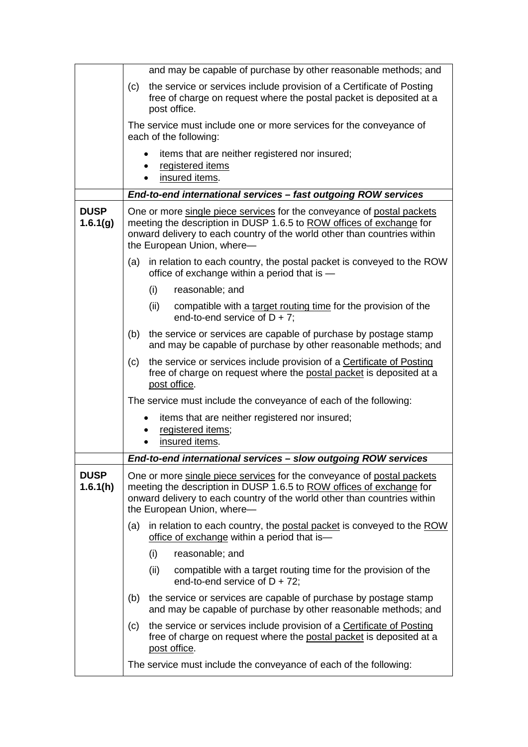|                         | and may be capable of purchase by other reasonable methods; and                                                                                                                                                                                          |  |  |
|-------------------------|----------------------------------------------------------------------------------------------------------------------------------------------------------------------------------------------------------------------------------------------------------|--|--|
|                         | the service or services include provision of a Certificate of Posting<br>(c)<br>free of charge on request where the postal packet is deposited at a<br>post office.                                                                                      |  |  |
|                         | The service must include one or more services for the conveyance of<br>each of the following:                                                                                                                                                            |  |  |
|                         | items that are neither registered nor insured;<br>registered items<br>insured items.                                                                                                                                                                     |  |  |
|                         | End-to-end international services - fast outgoing ROW services                                                                                                                                                                                           |  |  |
| <b>DUSP</b><br>1.6.1(g) | One or more single piece services for the conveyance of postal packets<br>meeting the description in DUSP 1.6.5 to ROW offices of exchange for<br>onward delivery to each country of the world other than countries within<br>the European Union, where- |  |  |
|                         | in relation to each country, the postal packet is conveyed to the ROW<br>(a)<br>office of exchange within a period that is -                                                                                                                             |  |  |
|                         | (i)<br>reasonable; and                                                                                                                                                                                                                                   |  |  |
|                         | (ii)<br>compatible with a target routing time for the provision of the<br>end-to-end service of $D + 7$ ;                                                                                                                                                |  |  |
|                         | the service or services are capable of purchase by postage stamp<br>(b)<br>and may be capable of purchase by other reasonable methods; and                                                                                                               |  |  |
|                         | the service or services include provision of a Certificate of Posting<br>(c)<br>free of charge on request where the postal packet is deposited at a<br>post office.                                                                                      |  |  |
|                         | The service must include the conveyance of each of the following:                                                                                                                                                                                        |  |  |
|                         | items that are neither registered nor insured;<br>registered items;<br>insured items.                                                                                                                                                                    |  |  |
|                         | End-to-end international services - slow outgoing ROW services                                                                                                                                                                                           |  |  |
| <b>DUSP</b><br>1.6.1(h) | One or more single piece services for the conveyance of postal packets<br>meeting the description in DUSP 1.6.5 to ROW offices of exchange for<br>onward delivery to each country of the world other than countries within<br>the European Union, where- |  |  |
|                         | in relation to each country, the postal packet is conveyed to the ROW<br>(a)<br>office of exchange within a period that is-                                                                                                                              |  |  |
|                         | (i)<br>reasonable; and                                                                                                                                                                                                                                   |  |  |
|                         | (ii)<br>compatible with a target routing time for the provision of the<br>end-to-end service of $D + 72$ ;                                                                                                                                               |  |  |
|                         | the service or services are capable of purchase by postage stamp<br>(b)<br>and may be capable of purchase by other reasonable methods; and                                                                                                               |  |  |
|                         | the service or services include provision of a Certificate of Posting<br>(c)<br>free of charge on request where the postal packet is deposited at a<br>post office.                                                                                      |  |  |
|                         | The service must include the conveyance of each of the following:                                                                                                                                                                                        |  |  |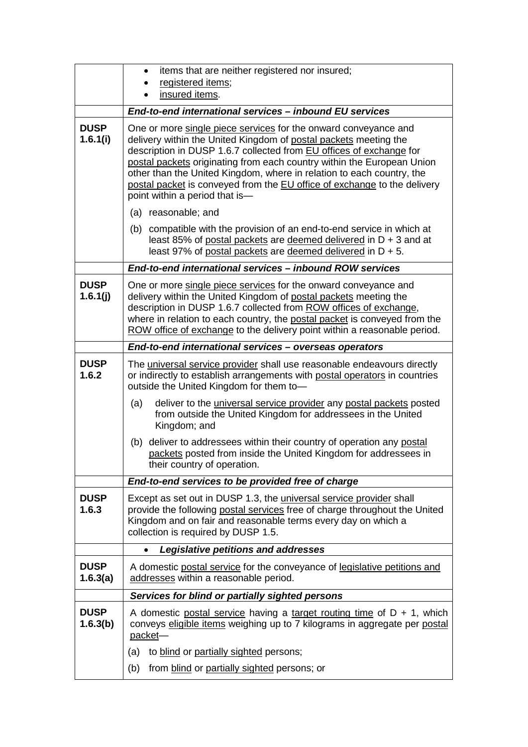|                         | items that are neither registered nor insured;<br>$\bullet$<br>registered items;                                                                                                                                                                                                                                                                                                                                                                                            |  |  |
|-------------------------|-----------------------------------------------------------------------------------------------------------------------------------------------------------------------------------------------------------------------------------------------------------------------------------------------------------------------------------------------------------------------------------------------------------------------------------------------------------------------------|--|--|
|                         | insured items.                                                                                                                                                                                                                                                                                                                                                                                                                                                              |  |  |
|                         | End-to-end international services - inbound EU services                                                                                                                                                                                                                                                                                                                                                                                                                     |  |  |
| <b>DUSP</b><br>1.6.1(i) | One or more single piece services for the onward conveyance and<br>delivery within the United Kingdom of postal packets meeting the<br>description in DUSP 1.6.7 collected from EU offices of exchange for<br>postal packets originating from each country within the European Union<br>other than the United Kingdom, where in relation to each country, the<br>postal packet is conveyed from the EU office of exchange to the delivery<br>point within a period that is- |  |  |
|                         | (a) reasonable; and                                                                                                                                                                                                                                                                                                                                                                                                                                                         |  |  |
|                         | compatible with the provision of an end-to-end service in which at<br>(b)<br>least 85% of postal packets are deemed delivered in D + 3 and at<br>least 97% of postal packets are deemed delivered in $D + 5$ .                                                                                                                                                                                                                                                              |  |  |
|                         | End-to-end international services - inbound ROW services                                                                                                                                                                                                                                                                                                                                                                                                                    |  |  |
| <b>DUSP</b><br>1.6.1(j) | One or more single piece services for the onward conveyance and<br>delivery within the United Kingdom of postal packets meeting the<br>description in DUSP 1.6.7 collected from ROW offices of exchange,<br>where in relation to each country, the postal packet is conveyed from the<br>ROW office of exchange to the delivery point within a reasonable period.                                                                                                           |  |  |
|                         | End-to-end international services - overseas operators                                                                                                                                                                                                                                                                                                                                                                                                                      |  |  |
| <b>DUSP</b><br>1.6.2    | The universal service provider shall use reasonable endeavours directly<br>or indirectly to establish arrangements with postal operators in countries<br>outside the United Kingdom for them to-                                                                                                                                                                                                                                                                            |  |  |
|                         | (a)<br>deliver to the <i>universal service provider</i> any postal packets posted<br>from outside the United Kingdom for addressees in the United<br>Kingdom; and                                                                                                                                                                                                                                                                                                           |  |  |
|                         | deliver to addressees within their country of operation any postal<br>(b)<br>packets posted from inside the United Kingdom for addressees in<br>their country of operation.                                                                                                                                                                                                                                                                                                 |  |  |
|                         | End-to-end services to be provided free of charge                                                                                                                                                                                                                                                                                                                                                                                                                           |  |  |
| <b>DUSP</b><br>1.6.3    | Except as set out in DUSP 1.3, the universal service provider shall<br>provide the following postal services free of charge throughout the United<br>Kingdom and on fair and reasonable terms every day on which a<br>collection is required by DUSP 1.5.                                                                                                                                                                                                                   |  |  |
|                         | <b>Legislative petitions and addresses</b><br>$\bullet$                                                                                                                                                                                                                                                                                                                                                                                                                     |  |  |
| <b>DUSP</b><br>1.6.3(a) | A domestic postal service for the conveyance of legislative petitions and<br>addresses within a reasonable period.                                                                                                                                                                                                                                                                                                                                                          |  |  |
|                         | Services for blind or partially sighted persons                                                                                                                                                                                                                                                                                                                                                                                                                             |  |  |
| <b>DUSP</b><br>1.6.3(b) | A domestic postal service having a target routing time of $D + 1$ , which<br>conveys eligible items weighing up to 7 kilograms in aggregate per postal<br>packet-                                                                                                                                                                                                                                                                                                           |  |  |
|                         | to blind or partially sighted persons;<br>(a)                                                                                                                                                                                                                                                                                                                                                                                                                               |  |  |
|                         | from blind or partially sighted persons; or<br>(b)                                                                                                                                                                                                                                                                                                                                                                                                                          |  |  |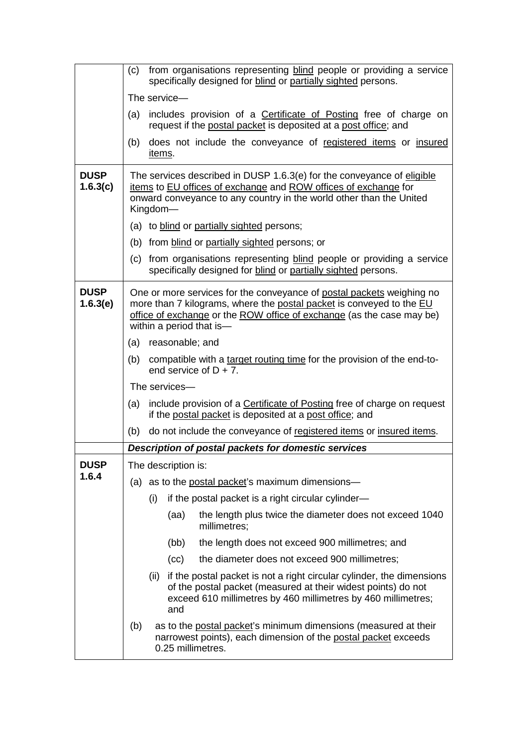|                         | from organisations representing blind people or providing a service<br>(c)<br>specifically designed for blind or partially sighted persons.                                                                                                        |  |  |  |  |
|-------------------------|----------------------------------------------------------------------------------------------------------------------------------------------------------------------------------------------------------------------------------------------------|--|--|--|--|
|                         | The service-                                                                                                                                                                                                                                       |  |  |  |  |
|                         | includes provision of a Certificate of Posting free of charge on<br>(a)<br>request if the postal packet is deposited at a post office; and                                                                                                         |  |  |  |  |
|                         | does not include the conveyance of registered items or insured<br>(b)<br>items.                                                                                                                                                                    |  |  |  |  |
| <b>DUSP</b><br>1.6.3(c) | The services described in DUSP 1.6.3(e) for the conveyance of eligible<br>items to EU offices of exchange and ROW offices of exchange for<br>onward conveyance to any country in the world other than the United<br>Kingdom-                       |  |  |  |  |
|                         | (a) to blind or partially sighted persons;                                                                                                                                                                                                         |  |  |  |  |
|                         | (b) from blind or partially sighted persons; or                                                                                                                                                                                                    |  |  |  |  |
|                         | (c) from organisations representing blind people or providing a service<br>specifically designed for blind or partially sighted persons.                                                                                                           |  |  |  |  |
| <b>DUSP</b><br>1.6.3(e) | One or more services for the conveyance of postal packets weighing no<br>more than 7 kilograms, where the postal packet is conveyed to the EU<br>office of exchange or the ROW office of exchange (as the case may be)<br>within a period that is- |  |  |  |  |
|                         | (a) reasonable; and                                                                                                                                                                                                                                |  |  |  |  |
|                         | (b)<br>compatible with a target routing time for the provision of the end-to-<br>end service of $D + 7$ .                                                                                                                                          |  |  |  |  |
|                         | The services-                                                                                                                                                                                                                                      |  |  |  |  |
|                         | include provision of a Certificate of Posting free of charge on request<br>(a)<br>if the postal packet is deposited at a post office; and                                                                                                          |  |  |  |  |
|                         | do not include the conveyance of registered items or insured items.<br>(b)                                                                                                                                                                         |  |  |  |  |
|                         | Description of postal packets for domestic services                                                                                                                                                                                                |  |  |  |  |
| <b>DUSP</b>             | The description is:                                                                                                                                                                                                                                |  |  |  |  |
| 1.6.4                   | (a) as to the postal packet's maximum dimensions—                                                                                                                                                                                                  |  |  |  |  |
|                         | if the postal packet is a right circular cylinder-<br>(i)                                                                                                                                                                                          |  |  |  |  |
|                         | the length plus twice the diameter does not exceed 1040<br>(aa)<br>millimetres;                                                                                                                                                                    |  |  |  |  |
|                         | the length does not exceed 900 millimetres; and<br>(bb)                                                                                                                                                                                            |  |  |  |  |
|                         | the diameter does not exceed 900 millimetres;<br>(cc)                                                                                                                                                                                              |  |  |  |  |
|                         | if the postal packet is not a right circular cylinder, the dimensions<br>(ii)<br>of the postal packet (measured at their widest points) do not<br>exceed 610 millimetres by 460 millimetres by 460 millimetres;<br>and                             |  |  |  |  |
|                         | as to the postal packet's minimum dimensions (measured at their<br>(b)<br>narrowest points), each dimension of the postal packet exceeds<br>0.25 millimetres.                                                                                      |  |  |  |  |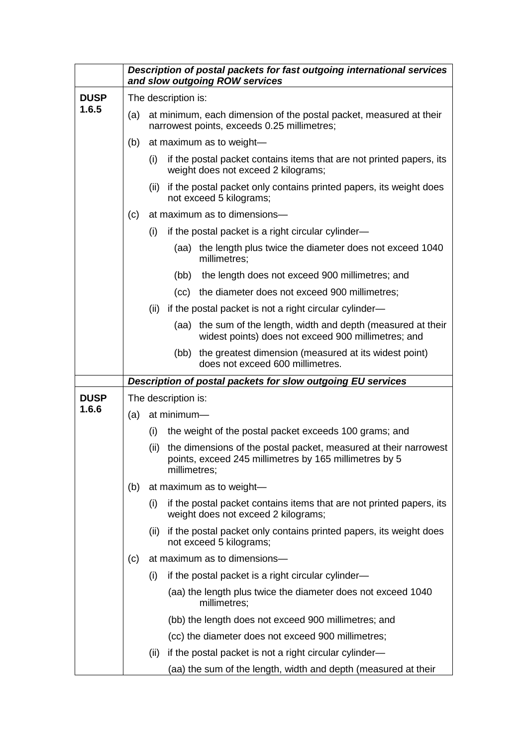|             |     |                                                                                                                   | Description of postal packets for fast outgoing international services<br>and slow outgoing ROW services                                   |  |  |  |
|-------------|-----|-------------------------------------------------------------------------------------------------------------------|--------------------------------------------------------------------------------------------------------------------------------------------|--|--|--|
| <b>DUSP</b> |     | The description is:                                                                                               |                                                                                                                                            |  |  |  |
| 1.6.5       | (a) | at minimum, each dimension of the postal packet, measured at their<br>narrowest points, exceeds 0.25 millimetres; |                                                                                                                                            |  |  |  |
|             | (b) |                                                                                                                   | at maximum as to weight-                                                                                                                   |  |  |  |
|             |     | (i)                                                                                                               | if the postal packet contains items that are not printed papers, its<br>weight does not exceed 2 kilograms;                                |  |  |  |
|             |     | (ii)                                                                                                              | if the postal packet only contains printed papers, its weight does<br>not exceed 5 kilograms;                                              |  |  |  |
|             | (c) |                                                                                                                   | at maximum as to dimensions-                                                                                                               |  |  |  |
|             |     | (i)                                                                                                               | if the postal packet is a right circular cylinder-                                                                                         |  |  |  |
|             |     |                                                                                                                   | the length plus twice the diameter does not exceed 1040<br>(aa)<br>millimetres;                                                            |  |  |  |
|             |     |                                                                                                                   | the length does not exceed 900 millimetres; and<br>(bb)                                                                                    |  |  |  |
|             |     |                                                                                                                   | (cc) the diameter does not exceed 900 millimetres;                                                                                         |  |  |  |
|             |     | (ii)                                                                                                              | if the postal packet is not a right circular cylinder—                                                                                     |  |  |  |
|             |     |                                                                                                                   | the sum of the length, width and depth (measured at their<br>(aa)<br>widest points) does not exceed 900 millimetres; and                   |  |  |  |
|             |     |                                                                                                                   | the greatest dimension (measured at its widest point)<br>(bb)<br>does not exceed 600 millimetres.                                          |  |  |  |
|             |     |                                                                                                                   | Description of postal packets for slow outgoing EU services                                                                                |  |  |  |
| <b>DUSP</b> |     |                                                                                                                   | The description is:                                                                                                                        |  |  |  |
| 1.6.6       | (a) |                                                                                                                   | at minimum-                                                                                                                                |  |  |  |
|             |     | (i)                                                                                                               | the weight of the postal packet exceeds 100 grams; and                                                                                     |  |  |  |
|             |     | (ii)                                                                                                              | the dimensions of the postal packet, measured at their narrowest<br>points, exceed 245 millimetres by 165 millimetres by 5<br>millimetres; |  |  |  |
|             | (b) |                                                                                                                   | at maximum as to weight-                                                                                                                   |  |  |  |
|             |     | (i)                                                                                                               | if the postal packet contains items that are not printed papers, its<br>weight does not exceed 2 kilograms;                                |  |  |  |
|             |     | (ii)                                                                                                              | if the postal packet only contains printed papers, its weight does<br>not exceed 5 kilograms;                                              |  |  |  |
|             | (c) |                                                                                                                   | at maximum as to dimensions-                                                                                                               |  |  |  |
|             |     | (i)                                                                                                               | if the postal packet is a right circular cylinder—                                                                                         |  |  |  |
|             |     |                                                                                                                   | (aa) the length plus twice the diameter does not exceed 1040<br>millimetres;                                                               |  |  |  |
|             |     |                                                                                                                   | (bb) the length does not exceed 900 millimetres; and                                                                                       |  |  |  |
|             |     |                                                                                                                   | (cc) the diameter does not exceed 900 millimetres;                                                                                         |  |  |  |
|             |     | (ii)                                                                                                              | if the postal packet is not a right circular cylinder—                                                                                     |  |  |  |
|             |     |                                                                                                                   | (aa) the sum of the length, width and depth (measured at their                                                                             |  |  |  |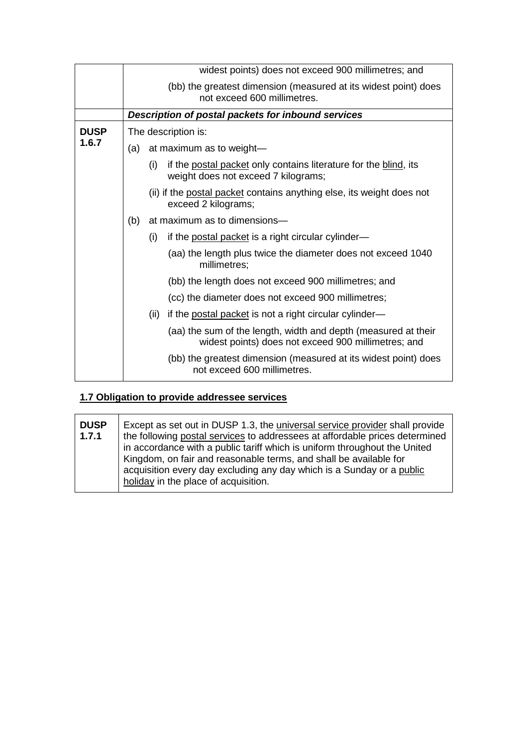|             |                     | widest points) does not exceed 900 millimetres; and                                                                   |  |  |
|-------------|---------------------|-----------------------------------------------------------------------------------------------------------------------|--|--|
|             |                     | (bb) the greatest dimension (measured at its widest point) does<br>not exceed 600 millimetres.                        |  |  |
|             |                     | Description of postal packets for inbound services                                                                    |  |  |
| <b>DUSP</b> | The description is: |                                                                                                                       |  |  |
| 1.6.7       | (a)                 | at maximum as to weight-                                                                                              |  |  |
|             |                     | if the postal packet only contains literature for the blind, its<br>(i)<br>weight does not exceed 7 kilograms;        |  |  |
|             |                     | (ii) if the postal packet contains anything else, its weight does not<br>exceed 2 kilograms;                          |  |  |
|             | (b)                 | at maximum as to dimensions-                                                                                          |  |  |
|             |                     | if the postal packet is a right circular cylinder—<br>(i)                                                             |  |  |
|             |                     | (aa) the length plus twice the diameter does not exceed 1040<br>millimetres;                                          |  |  |
|             |                     | (bb) the length does not exceed 900 millimetres; and                                                                  |  |  |
|             |                     | (cc) the diameter does not exceed 900 millimetres;                                                                    |  |  |
|             |                     | if the postal packet is not a right circular cylinder—<br>(ii)                                                        |  |  |
|             |                     | (aa) the sum of the length, width and depth (measured at their<br>widest points) does not exceed 900 millimetres; and |  |  |
|             |                     | (bb) the greatest dimension (measured at its widest point) does<br>not exceed 600 millimetres.                        |  |  |

# **1.7 Obligation to provide addressee services**

| <b>DUSP</b><br>1.7.1 | Except as set out in DUSP 1.3, the <i>universal service provider</i> shall provide<br>the following postal services to addressees at affordable prices determined<br>in accordance with a public tariff which is uniform throughout the United<br>Kingdom, on fair and reasonable terms, and shall be available for<br>acquisition every day excluding any day which is a Sunday or a public |
|----------------------|----------------------------------------------------------------------------------------------------------------------------------------------------------------------------------------------------------------------------------------------------------------------------------------------------------------------------------------------------------------------------------------------|
|                      | holiday in the place of acquisition.                                                                                                                                                                                                                                                                                                                                                         |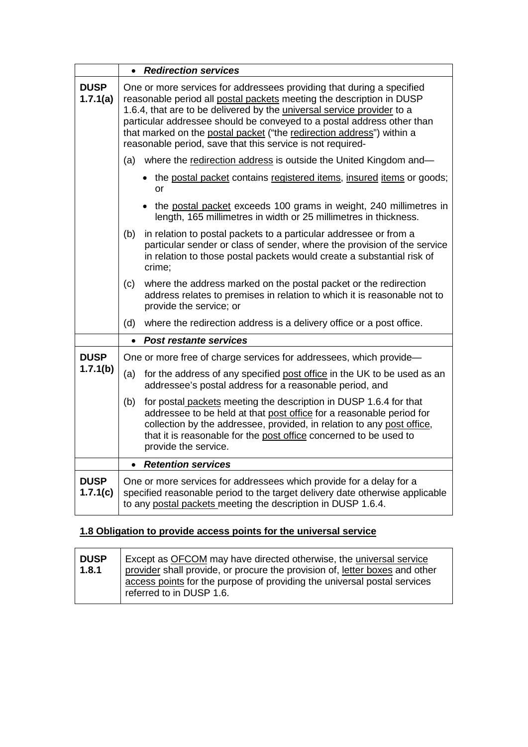|                         |                                                                                                                                                                                                                                                                                                                                                                                                                                                 | • Redirection services                                                                                                                                                                                                                                                                                           |  |  |
|-------------------------|-------------------------------------------------------------------------------------------------------------------------------------------------------------------------------------------------------------------------------------------------------------------------------------------------------------------------------------------------------------------------------------------------------------------------------------------------|------------------------------------------------------------------------------------------------------------------------------------------------------------------------------------------------------------------------------------------------------------------------------------------------------------------|--|--|
| <b>DUSP</b><br>1.7.1(a) | One or more services for addressees providing that during a specified<br>reasonable period all postal packets meeting the description in DUSP<br>1.6.4, that are to be delivered by the <i>universal service provider</i> to a<br>particular addressee should be conveyed to a postal address other than<br>that marked on the postal packet ("the redirection address") within a<br>reasonable period, save that this service is not required- |                                                                                                                                                                                                                                                                                                                  |  |  |
|                         |                                                                                                                                                                                                                                                                                                                                                                                                                                                 | (a) where the redirection address is outside the United Kingdom and-                                                                                                                                                                                                                                             |  |  |
|                         |                                                                                                                                                                                                                                                                                                                                                                                                                                                 | • the postal packet contains registered items, insured items or goods;<br>or                                                                                                                                                                                                                                     |  |  |
|                         |                                                                                                                                                                                                                                                                                                                                                                                                                                                 | the postal packet exceeds 100 grams in weight, 240 millimetres in<br>length, 165 millimetres in width or 25 millimetres in thickness.                                                                                                                                                                            |  |  |
|                         | (b)                                                                                                                                                                                                                                                                                                                                                                                                                                             | in relation to postal packets to a particular addressee or from a<br>particular sender or class of sender, where the provision of the service<br>in relation to those postal packets would create a substantial risk of<br>crime;                                                                                |  |  |
|                         | (c)                                                                                                                                                                                                                                                                                                                                                                                                                                             | where the address marked on the postal packet or the redirection<br>address relates to premises in relation to which it is reasonable not to<br>provide the service; or                                                                                                                                          |  |  |
|                         | (d)                                                                                                                                                                                                                                                                                                                                                                                                                                             | where the redirection address is a delivery office or a post office.                                                                                                                                                                                                                                             |  |  |
|                         |                                                                                                                                                                                                                                                                                                                                                                                                                                                 | <b>Post restante services</b>                                                                                                                                                                                                                                                                                    |  |  |
| <b>DUSP</b>             | One or more free of charge services for addressees, which provide-                                                                                                                                                                                                                                                                                                                                                                              |                                                                                                                                                                                                                                                                                                                  |  |  |
| 1.7.1(b)                | (a)                                                                                                                                                                                                                                                                                                                                                                                                                                             | for the address of any specified post office in the UK to be used as an<br>addressee's postal address for a reasonable period, and                                                                                                                                                                               |  |  |
|                         | (b)                                                                                                                                                                                                                                                                                                                                                                                                                                             | for postal packets meeting the description in DUSP 1.6.4 for that<br>addressee to be held at that post office for a reasonable period for<br>collection by the addressee, provided, in relation to any post office,<br>that it is reasonable for the post office concerned to be used to<br>provide the service. |  |  |
|                         | $\bullet$                                                                                                                                                                                                                                                                                                                                                                                                                                       | <b>Retention services</b>                                                                                                                                                                                                                                                                                        |  |  |
| <b>DUSP</b><br>1.7.1(c) | One or more services for addressees which provide for a delay for a<br>specified reasonable period to the target delivery date otherwise applicable<br>to any postal packets meeting the description in DUSP 1.6.4.                                                                                                                                                                                                                             |                                                                                                                                                                                                                                                                                                                  |  |  |

# **1.8 Obligation to provide access points for the universal service**

| <b>DUSP</b><br>1.8.1 | Except as OFCOM may have directed otherwise, the universal service<br>provider shall provide, or procure the provision of, letter boxes and other<br>access points for the purpose of providing the universal postal services<br>referred to in DUSP 1.6. |
|----------------------|-----------------------------------------------------------------------------------------------------------------------------------------------------------------------------------------------------------------------------------------------------------|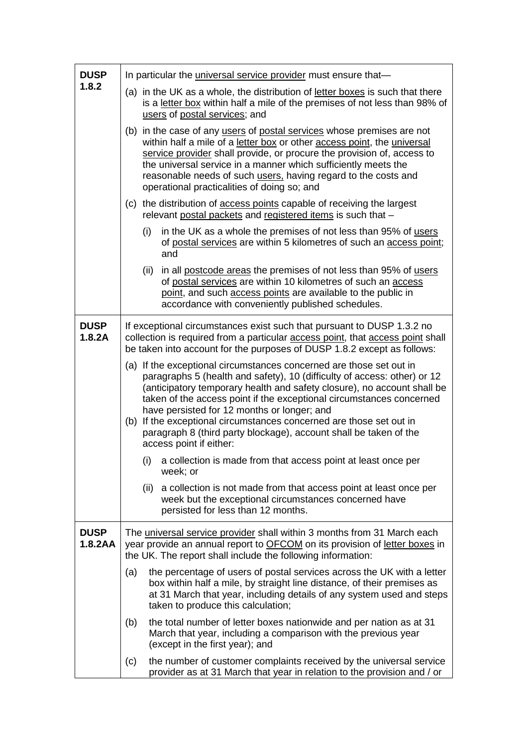| <b>DUSP</b>            | In particular the <i>universal service provider</i> must ensure that-                                                                                                                                                                                                                                                                                                                                                                                                                                                    |  |  |  |
|------------------------|--------------------------------------------------------------------------------------------------------------------------------------------------------------------------------------------------------------------------------------------------------------------------------------------------------------------------------------------------------------------------------------------------------------------------------------------------------------------------------------------------------------------------|--|--|--|
| 1.8.2                  | (a) in the UK as a whole, the distribution of <u>letter boxes</u> is such that there<br>is a letter box within half a mile of the premises of not less than 98% of<br>users of postal services; and                                                                                                                                                                                                                                                                                                                      |  |  |  |
|                        | (b) in the case of any users of postal services whose premises are not<br>within half a mile of a letter box or other access point, the universal<br>service provider shall provide, or procure the provision of, access to<br>the universal service in a manner which sufficiently meets the<br>reasonable needs of such users, having regard to the costs and<br>operational practicalities of doing so; and                                                                                                           |  |  |  |
|                        | (c) the distribution of access points capable of receiving the largest<br>relevant postal packets and registered items is such that -                                                                                                                                                                                                                                                                                                                                                                                    |  |  |  |
|                        | in the UK as a whole the premises of not less than 95% of users<br>(i)<br>of postal services are within 5 kilometres of such an access point;<br>and                                                                                                                                                                                                                                                                                                                                                                     |  |  |  |
|                        | in all postcode areas the premises of not less than 95% of users<br>(ii)<br>of postal services are within 10 kilometres of such an access<br>point, and such access points are available to the public in<br>accordance with conveniently published schedules.                                                                                                                                                                                                                                                           |  |  |  |
| <b>DUSP</b><br>1.8.2A  | If exceptional circumstances exist such that pursuant to DUSP 1.3.2 no<br>collection is required from a particular access point, that access point shall<br>be taken into account for the purposes of DUSP 1.8.2 except as follows:                                                                                                                                                                                                                                                                                      |  |  |  |
|                        | (a) If the exceptional circumstances concerned are those set out in<br>paragraphs 5 (health and safety), 10 (difficulty of access: other) or 12<br>(anticipatory temporary health and safety closure), no account shall be<br>taken of the access point if the exceptional circumstances concerned<br>have persisted for 12 months or longer; and<br>(b) If the exceptional circumstances concerned are those set out in<br>paragraph 8 (third party blockage), account shall be taken of the<br>access point if either: |  |  |  |
|                        | (i) a collection is made from that access point at least once per<br>week; or                                                                                                                                                                                                                                                                                                                                                                                                                                            |  |  |  |
|                        | a collection is not made from that access point at least once per<br>(ii)<br>week but the exceptional circumstances concerned have<br>persisted for less than 12 months.                                                                                                                                                                                                                                                                                                                                                 |  |  |  |
| <b>DUSP</b><br>1.8.2AA | The universal service provider shall within 3 months from 31 March each<br>year provide an annual report to <b>OFCOM</b> on its provision of letter boxes in<br>the UK. The report shall include the following information:                                                                                                                                                                                                                                                                                              |  |  |  |
|                        | the percentage of users of postal services across the UK with a letter<br>(a)<br>box within half a mile, by straight line distance, of their premises as<br>at 31 March that year, including details of any system used and steps<br>taken to produce this calculation;                                                                                                                                                                                                                                                  |  |  |  |
|                        | the total number of letter boxes nationwide and per nation as at 31<br>(b)<br>March that year, including a comparison with the previous year<br>(except in the first year); and                                                                                                                                                                                                                                                                                                                                          |  |  |  |
|                        | the number of customer complaints received by the universal service<br>(c)<br>provider as at 31 March that year in relation to the provision and / or                                                                                                                                                                                                                                                                                                                                                                    |  |  |  |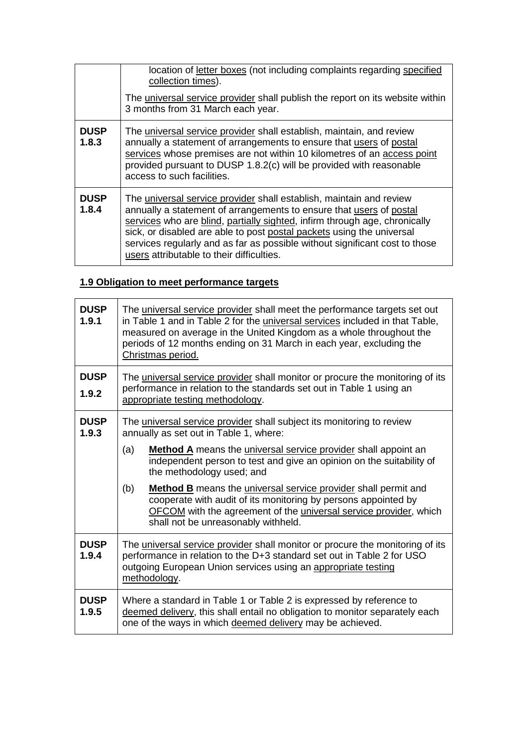|                      | location of letter boxes (not including complaints regarding specified<br>collection times).<br>The universal service provider shall publish the report on its website within<br>3 months from 31 March each year.                                                                                                                                                                                                            |
|----------------------|-------------------------------------------------------------------------------------------------------------------------------------------------------------------------------------------------------------------------------------------------------------------------------------------------------------------------------------------------------------------------------------------------------------------------------|
| <b>DUSP</b><br>1.8.3 | The universal service provider shall establish, maintain, and review<br>annually a statement of arrangements to ensure that users of postal<br>services whose premises are not within 10 kilometres of an access point<br>provided pursuant to DUSP 1.8.2(c) will be provided with reasonable<br>access to such facilities.                                                                                                   |
| <b>DUSP</b><br>1.8.4 | The universal service provider shall establish, maintain and review<br>annually a statement of arrangements to ensure that users of postal<br>services who are blind, partially sighted, infirm through age, chronically<br>sick, or disabled are able to post postal packets using the universal<br>services regularly and as far as possible without significant cost to those<br>users attributable to their difficulties. |

## **1.9 Obligation to meet performance targets**

| <b>DUSP</b><br>1.9.1 | The universal service provider shall meet the performance targets set out<br>in Table 1 and in Table 2 for the <i>universal services</i> included in that Table,<br>measured on average in the United Kingdom as a whole throughout the<br>periods of 12 months ending on 31 March in each year, excluding the<br>Christmas period. |  |
|----------------------|-------------------------------------------------------------------------------------------------------------------------------------------------------------------------------------------------------------------------------------------------------------------------------------------------------------------------------------|--|
| <b>DUSP</b><br>1.9.2 | The universal service provider shall monitor or procure the monitoring of its<br>performance in relation to the standards set out in Table 1 using an<br>appropriate testing methodology.                                                                                                                                           |  |
| <b>DUSP</b><br>1.9.3 | The universal service provider shall subject its monitoring to review<br>annually as set out in Table 1, where:                                                                                                                                                                                                                     |  |
|                      | <b>Method A</b> means the <i>universal service provider</i> shall appoint an<br>(a)<br>independent person to test and give an opinion on the suitability of<br>the methodology used; and                                                                                                                                            |  |
|                      | Method B means the universal service provider shall permit and<br>(b)<br>cooperate with audit of its monitoring by persons appointed by<br><b>OFCOM</b> with the agreement of the <i>universal service provider</i> , which<br>shall not be unreasonably withheld.                                                                  |  |
| <b>DUSP</b><br>1.9.4 | The universal service provider shall monitor or procure the monitoring of its<br>performance in relation to the D+3 standard set out in Table 2 for USO<br>outgoing European Union services using an appropriate testing<br>methodology.                                                                                            |  |
| <b>DUSP</b><br>1.9.5 | Where a standard in Table 1 or Table 2 is expressed by reference to<br>deemed delivery, this shall entail no obligation to monitor separately each<br>one of the ways in which deemed delivery may be achieved.                                                                                                                     |  |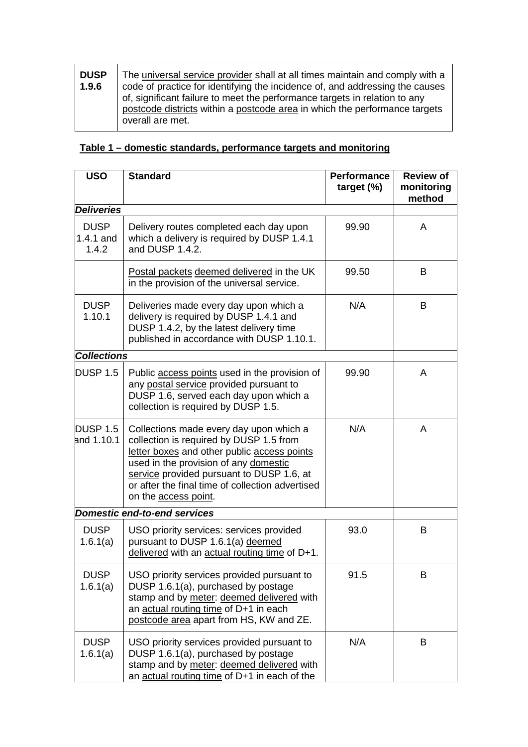| <b>DUSP</b><br>1.9.6 | The universal service provider shall at all times maintain and comply with a<br>code of practice for identifying the incidence of, and addressing the causes<br>of, significant failure to meet the performance targets in relation to any |
|----------------------|--------------------------------------------------------------------------------------------------------------------------------------------------------------------------------------------------------------------------------------------|
|                      | postcode districts within a postcode area in which the performance targets<br>overall are met.                                                                                                                                             |

## **Table 1 – domestic standards, performance targets and monitoring**

| <b>USO</b>                        | <b>Standard</b>                                                                                                                                                                                                                                                                                     | <b>Performance</b><br>target $(\%)$ | <b>Review of</b><br>monitoring<br>method |
|-----------------------------------|-----------------------------------------------------------------------------------------------------------------------------------------------------------------------------------------------------------------------------------------------------------------------------------------------------|-------------------------------------|------------------------------------------|
| <b>Deliveries</b>                 |                                                                                                                                                                                                                                                                                                     |                                     |                                          |
| <b>DUSP</b><br>1.4.1 and<br>1.4.2 | Delivery routes completed each day upon<br>which a delivery is required by DUSP 1.4.1<br>and DUSP 1.4.2.                                                                                                                                                                                            | 99.90                               | A                                        |
|                                   | Postal packets deemed delivered in the UK<br>in the provision of the universal service.                                                                                                                                                                                                             | 99.50                               | B                                        |
| <b>DUSP</b><br>1.10.1             | Deliveries made every day upon which a<br>delivery is required by DUSP 1.4.1 and<br>DUSP 1.4.2, by the latest delivery time<br>published in accordance with DUSP 1.10.1.                                                                                                                            | N/A                                 | B                                        |
| <b>Collections</b>                |                                                                                                                                                                                                                                                                                                     |                                     |                                          |
| DUSP 1.5                          | Public access points used in the provision of<br>any postal service provided pursuant to<br>DUSP 1.6, served each day upon which a<br>collection is required by DUSP 1.5.                                                                                                                           | 99.90                               | A                                        |
| <b>DUSP 1.5</b><br>and 1.10.1     | Collections made every day upon which a<br>collection is required by DUSP 1.5 from<br>letter boxes and other public access points<br>used in the provision of any domestic<br>service provided pursuant to DUSP 1.6, at<br>or after the final time of collection advertised<br>on the access point. | N/A                                 | A                                        |
|                                   | <b>Domestic end-to-end services</b>                                                                                                                                                                                                                                                                 |                                     |                                          |
| <b>DUSP</b><br>1.6.1(a)           | USO priority services: services provided<br>pursuant to DUSP 1.6.1(a) deemed<br>delivered with an actual routing time of D+1.                                                                                                                                                                       | 93.0                                | B                                        |
| <b>DUSP</b><br>1.6.1(a)           | USO priority services provided pursuant to<br>DUSP 1.6.1(a), purchased by postage<br>stamp and by meter: deemed delivered with<br>an actual routing time of D+1 in each<br>postcode area apart from HS, KW and ZE.                                                                                  | 91.5                                | B                                        |
| <b>DUSP</b><br>1.6.1(a)           | USO priority services provided pursuant to<br>DUSP 1.6.1(a), purchased by postage<br>stamp and by meter: deemed delivered with<br>an actual routing time of D+1 in each of the                                                                                                                      | N/A                                 | B                                        |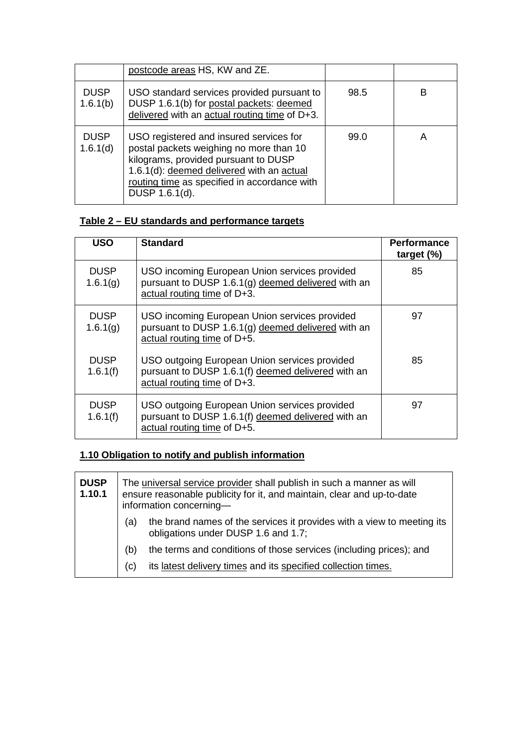|                         | postcode areas HS, KW and ZE.                                                                                                                                                                                                             |      |   |
|-------------------------|-------------------------------------------------------------------------------------------------------------------------------------------------------------------------------------------------------------------------------------------|------|---|
| <b>DUSP</b><br>1.6.1(b) | USO standard services provided pursuant to<br>DUSP 1.6.1(b) for postal packets: deemed<br>delivered with an actual routing time of D+3.                                                                                                   | 98.5 | в |
| <b>DUSP</b><br>1.6.1(d) | USO registered and insured services for<br>postal packets weighing no more than 10<br>kilograms, provided pursuant to DUSP<br>1.6.1(d): deemed delivered with an actual<br>routing time as specified in accordance with<br>DUSP 1.6.1(d). | 99.0 | Α |

## **Table 2 – EU standards and performance targets**

| <b>USO</b>              | <b>Standard</b>                                                                                                                    | <b>Performance</b><br>target $(\%)$ |
|-------------------------|------------------------------------------------------------------------------------------------------------------------------------|-------------------------------------|
| <b>DUSP</b><br>1.6.1(g) | USO incoming European Union services provided<br>pursuant to DUSP 1.6.1(g) deemed delivered with an<br>actual routing time of D+3. | 85                                  |
| <b>DUSP</b><br>1.6.1(g) | USO incoming European Union services provided<br>pursuant to DUSP 1.6.1(g) deemed delivered with an<br>actual routing time of D+5. | 97                                  |
| <b>DUSP</b><br>1.6.1(f) | USO outgoing European Union services provided<br>pursuant to DUSP 1.6.1(f) deemed delivered with an<br>actual routing time of D+3. | 85                                  |
| <b>DUSP</b><br>1.6.1(f) | USO outgoing European Union services provided<br>pursuant to DUSP 1.6.1(f) deemed delivered with an<br>actual routing time of D+5. | 97                                  |

# **1.10 Obligation to notify and publish information**

| <b>DUSP</b><br>1.10.1 |     | The universal service provider shall publish in such a manner as will<br>ensure reasonable publicity for it, and maintain, clear and up-to-date<br>information concerning- |
|-----------------------|-----|----------------------------------------------------------------------------------------------------------------------------------------------------------------------------|
|                       | (a) | the brand names of the services it provides with a view to meeting its<br>obligations under DUSP 1.6 and 1.7;                                                              |
|                       | (b) | the terms and conditions of those services (including prices); and                                                                                                         |
|                       | (C) | its latest delivery times and its specified collection times.                                                                                                              |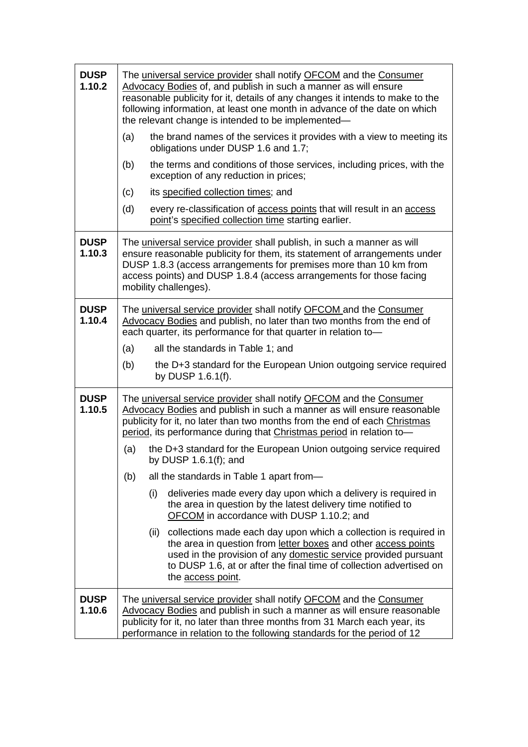| <b>DUSP</b><br>1.10.2 | The universal service provider shall notify OFCOM and the Consumer<br>Advocacy Bodies of, and publish in such a manner as will ensure<br>reasonable publicity for it, details of any changes it intends to make to the<br>following information, at least one month in advance of the date on which<br>the relevant change is intended to be implemented- |  |
|-----------------------|-----------------------------------------------------------------------------------------------------------------------------------------------------------------------------------------------------------------------------------------------------------------------------------------------------------------------------------------------------------|--|
|                       | the brand names of the services it provides with a view to meeting its<br>(a)<br>obligations under DUSP 1.6 and 1.7;                                                                                                                                                                                                                                      |  |
|                       | (b)<br>the terms and conditions of those services, including prices, with the<br>exception of any reduction in prices;                                                                                                                                                                                                                                    |  |
|                       | (c)<br>its specified collection times; and                                                                                                                                                                                                                                                                                                                |  |
|                       | (d)<br>every re-classification of <b>access points</b> that will result in an <b>access</b><br>point's specified collection time starting earlier.                                                                                                                                                                                                        |  |
| <b>DUSP</b><br>1.10.3 | The universal service provider shall publish, in such a manner as will<br>ensure reasonable publicity for them, its statement of arrangements under<br>DUSP 1.8.3 (access arrangements for premises more than 10 km from<br>access points) and DUSP 1.8.4 (access arrangements for those facing<br>mobility challenges).                                  |  |
| <b>DUSP</b><br>1.10.4 | The universal service provider shall notify OFCOM and the Consumer<br>Advocacy Bodies and publish, no later than two months from the end of<br>each quarter, its performance for that quarter in relation to-                                                                                                                                             |  |
|                       | (a)<br>all the standards in Table 1; and                                                                                                                                                                                                                                                                                                                  |  |
|                       | the D+3 standard for the European Union outgoing service required<br>(b)<br>by DUSP 1.6.1(f).                                                                                                                                                                                                                                                             |  |
| <b>DUSP</b><br>1.10.5 | The universal service provider shall notify OFCOM and the Consumer<br>Advocacy Bodies and publish in such a manner as will ensure reasonable<br>publicity for it, no later than two months from the end of each Christmas<br>period, its performance during that Christmas period in relation to-                                                         |  |
|                       | (a)<br>the D+3 standard for the European Union outgoing service required<br>by DUSP $1.6.1(f)$ ; and                                                                                                                                                                                                                                                      |  |
|                       | (b)<br>all the standards in Table 1 apart from-                                                                                                                                                                                                                                                                                                           |  |
|                       | deliveries made every day upon which a delivery is required in<br>(i)<br>the area in question by the latest delivery time notified to<br>OFCOM in accordance with DUSP 1.10.2; and                                                                                                                                                                        |  |
|                       | collections made each day upon which a collection is required in<br>(ii)<br>the area in question from letter boxes and other access points<br>used in the provision of any domestic service provided pursuant<br>to DUSP 1.6, at or after the final time of collection advertised on<br>the access point.                                                 |  |
| <b>DUSP</b><br>1.10.6 | The universal service provider shall notify OFCOM and the Consumer<br>Advocacy Bodies and publish in such a manner as will ensure reasonable<br>publicity for it, no later than three months from 31 March each year, its<br>performance in relation to the following standards for the period of 12                                                      |  |